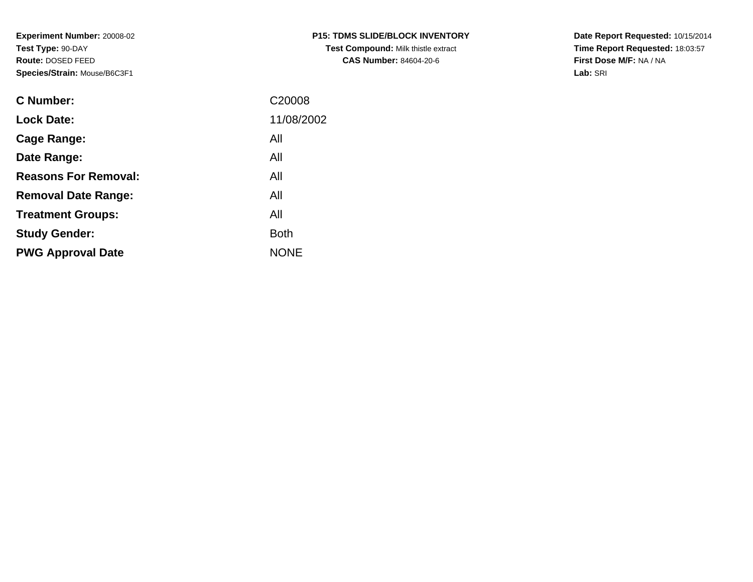**Experiment Number:** 20008-02**Test Type:** 90-DAY **Route:** DOSED FEED**Species/Strain:** Mouse/B6C3F1

| <b>C Number:</b>            | C20008      |
|-----------------------------|-------------|
| <b>Lock Date:</b>           | 11/08/2002  |
| <b>Cage Range:</b>          | All         |
| Date Range:                 | All         |
| <b>Reasons For Removal:</b> | All         |
| <b>Removal Date Range:</b>  | All         |
| <b>Treatment Groups:</b>    | All         |
| <b>Study Gender:</b>        | <b>Both</b> |
| <b>PWG Approval Date</b>    | <b>NONE</b> |
|                             |             |

**Date Report Requested:** 10/15/2014 **Time Report Requested:** 18:03:57**First Dose M/F:** NA / NA**Lab:** SRI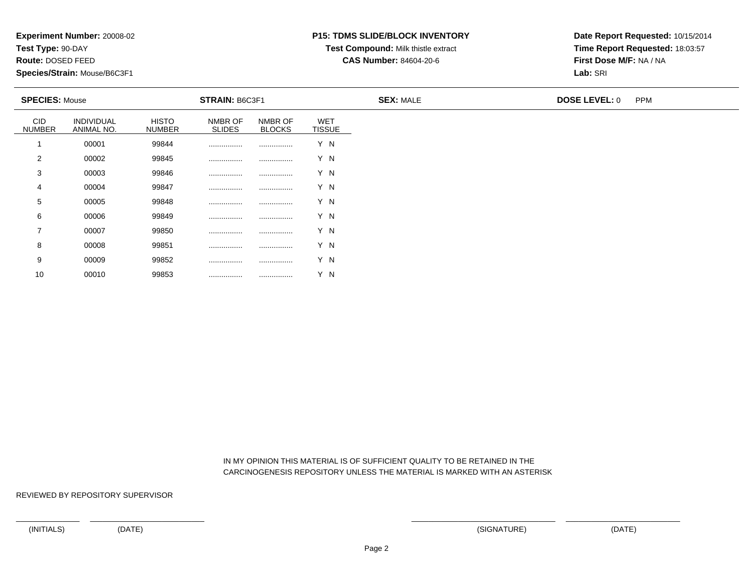**Test Type:** 90-DAY

**Route:** DOSED FEED

10

**Species/Strain:** Mouse/B6C3F1

#### **P15: TDMS SLIDE/BLOCK INVENTORY**

**Test Compound:** Milk thistle extract

**CAS Number:** 84604-20-6

**Date Report Requested:** 10/15/2014**Time Report Requested:** 18:03:57**First Dose M/F:** NA / NA**Lab:** SRI

| <b>SPECIES: Mouse</b>       |                          |                               | <b>STRAIN: B6C3F1</b>    |                          |                             | <b>SEX: MALE</b> | <b>DOSE LEVEL: 0</b> | <b>PPM</b> |
|-----------------------------|--------------------------|-------------------------------|--------------------------|--------------------------|-----------------------------|------------------|----------------------|------------|
| <b>CID</b><br><b>NUMBER</b> | INDIVIDUAL<br>ANIMAL NO. | <b>HISTO</b><br><b>NUMBER</b> | NMBR OF<br><b>SLIDES</b> | NMBR OF<br><b>BLOCKS</b> | <b>WET</b><br><b>TISSUE</b> |                  |                      |            |
|                             | 00001                    | 99844                         |                          |                          | Y N                         |                  |                      |            |
| 2                           | 00002                    | 99845                         |                          |                          | Y N                         |                  |                      |            |
| 3                           | 00003                    | 99846                         | .                        |                          | Y N                         |                  |                      |            |
| 4                           | 00004                    | 99847                         |                          |                          | Y N                         |                  |                      |            |
| 5                           | 00005                    | 99848                         |                          |                          | Y N                         |                  |                      |            |
| 6                           | 00006                    | 99849                         |                          |                          | Y N                         |                  |                      |            |
| $\overline{7}$              | 00007                    | 99850                         |                          |                          | Y N                         |                  |                      |            |
| 8                           | 00008                    | 99851                         | .                        |                          | Y N                         |                  |                      |            |
| 9                           | 00009                    | 99852                         |                          |                          | Y N                         |                  |                      |            |

 IN MY OPINION THIS MATERIAL IS OF SUFFICIENT QUALITY TO BE RETAINED IN THECARCINOGENESIS REPOSITORY UNLESS THE MATERIAL IS MARKED WITH AN ASTERISK

REVIEWED BY REPOSITORY SUPERVISOR

<sup>00010</sup> <sup>99853</sup> ................ ................ Y N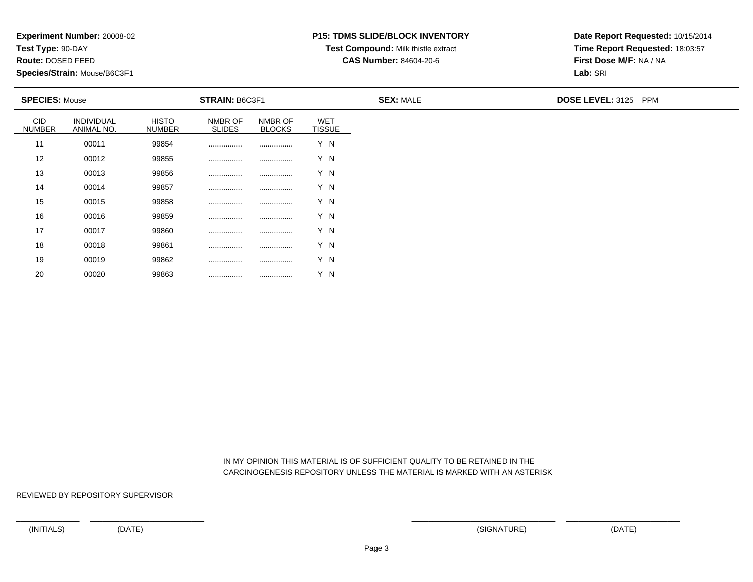**Test Type:** 90-DAY

**Route:** DOSED FEED

20

**Species/Strain:** Mouse/B6C3F1

# **P15: TDMS SLIDE/BLOCK INVENTORY**

**Test Compound:** Milk thistle extract

**CAS Number:** 84604-20-6

**Date Report Requested:** 10/15/2014**Time Report Requested:** 18:03:57**First Dose M/F:** NA / NA**Lab:** SRI

| <b>SPECIES: Mouse</b>       |                          |                               | <b>STRAIN: B6C3F1</b>    |                          |                             | <b>SEX: MALE</b> | DOSE LEVEL: 3125 PPM |
|-----------------------------|--------------------------|-------------------------------|--------------------------|--------------------------|-----------------------------|------------------|----------------------|
| <b>CID</b><br><b>NUMBER</b> | INDIVIDUAL<br>ANIMAL NO. | <b>HISTO</b><br><b>NUMBER</b> | NMBR OF<br><b>SLIDES</b> | NMBR OF<br><b>BLOCKS</b> | <b>WET</b><br><b>TISSUE</b> |                  |                      |
| 11                          | 00011                    | 99854                         |                          |                          | Y N                         |                  |                      |
| 12                          | 00012                    | 99855                         |                          |                          | Y N                         |                  |                      |
| 13                          | 00013                    | 99856                         |                          |                          | Y N                         |                  |                      |
| 14                          | 00014                    | 99857                         |                          |                          | Y N                         |                  |                      |
| 15                          | 00015                    | 99858                         |                          |                          | Y N                         |                  |                      |
| 16                          | 00016                    | 99859                         |                          |                          | Y N                         |                  |                      |
| 17                          | 00017                    | 99860                         |                          |                          | Y N                         |                  |                      |
| 18                          | 00018                    | 99861                         | .                        |                          | Y N                         |                  |                      |
| 19                          | 00019                    | 99862                         |                          |                          | Y N                         |                  |                      |

 IN MY OPINION THIS MATERIAL IS OF SUFFICIENT QUALITY TO BE RETAINED IN THECARCINOGENESIS REPOSITORY UNLESS THE MATERIAL IS MARKED WITH AN ASTERISK

REVIEWED BY REPOSITORY SUPERVISOR

<sup>00020</sup> <sup>99863</sup> ................ ................ Y N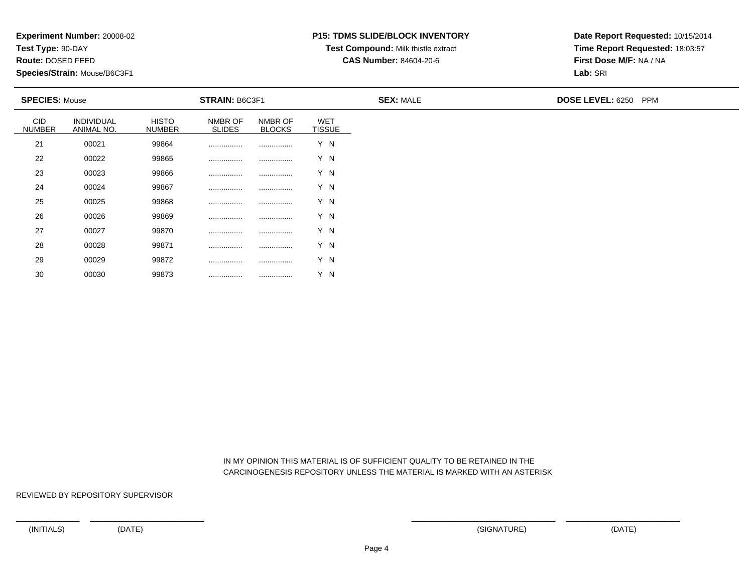**Test Type:** 90-DAY

**Route:** DOSED FEED

30

**Species/Strain:** Mouse/B6C3F1

## **P15: TDMS SLIDE/BLOCK INVENTORY**

**Test Compound:** Milk thistle extract

**CAS Number:** 84604-20-6

**Date Report Requested:** 10/15/2014**Time Report Requested:** 18:03:57**First Dose M/F:** NA / NA**Lab:** SRI

| <b>SPECIES: Mouse</b>       |                          |                               | <b>STRAIN: B6C3F1</b>    |                          |                             | <b>SEX: MALE</b> | DOSE LEVEL: 6250 PPM |
|-----------------------------|--------------------------|-------------------------------|--------------------------|--------------------------|-----------------------------|------------------|----------------------|
| <b>CID</b><br><b>NUMBER</b> | INDIVIDUAL<br>ANIMAL NO. | <b>HISTO</b><br><b>NUMBER</b> | NMBR OF<br><b>SLIDES</b> | NMBR OF<br><b>BLOCKS</b> | <b>WET</b><br><b>TISSUE</b> |                  |                      |
| 21                          | 00021                    | 99864                         |                          |                          | Y N                         |                  |                      |
| 22                          | 00022                    | 99865                         |                          |                          | Y N                         |                  |                      |
| 23                          | 00023                    | 99866                         |                          |                          | Y N                         |                  |                      |
| 24                          | 00024                    | 99867                         |                          |                          | Y N                         |                  |                      |
| 25                          | 00025                    | 99868                         |                          |                          | Y N                         |                  |                      |
| 26                          | 00026                    | 99869                         |                          |                          | Y N                         |                  |                      |
| 27                          | 00027                    | 99870                         |                          |                          | Y N                         |                  |                      |
| 28                          | 00028                    | 99871                         | .                        |                          | Y N                         |                  |                      |
| 29                          | 00029                    | 99872                         |                          |                          | Y N                         |                  |                      |

 IN MY OPINION THIS MATERIAL IS OF SUFFICIENT QUALITY TO BE RETAINED IN THECARCINOGENESIS REPOSITORY UNLESS THE MATERIAL IS MARKED WITH AN ASTERISK

REVIEWED BY REPOSITORY SUPERVISOR

<sup>00030</sup> <sup>99873</sup> ................ ................ Y N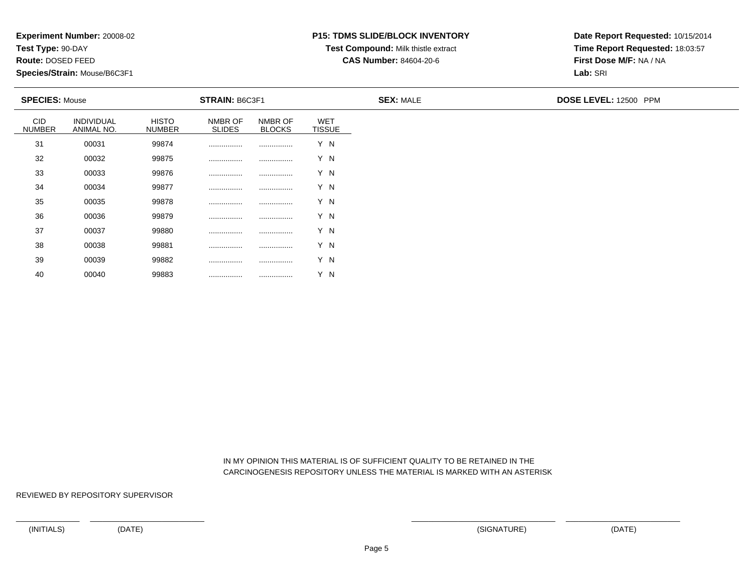**Test Type:** 90-DAY

**Route:** DOSED FEED

40

**Species/Strain:** Mouse/B6C3F1

## **P15: TDMS SLIDE/BLOCK INVENTORY**

**Test Compound:** Milk thistle extract

**CAS Number:** 84604-20-6

**Date Report Requested:** 10/15/2014**Time Report Requested:** 18:03:57**First Dose M/F:** NA / NA**Lab:** SRI

| <b>SPECIES: Mouse</b>       |                          |                               | <b>STRAIN: B6C3F1</b>    |                          |                             | <b>SEX: MALE</b> | DOSE LEVEL: 12500 PPM |
|-----------------------------|--------------------------|-------------------------------|--------------------------|--------------------------|-----------------------------|------------------|-----------------------|
| <b>CID</b><br><b>NUMBER</b> | INDIVIDUAL<br>ANIMAL NO. | <b>HISTO</b><br><b>NUMBER</b> | NMBR OF<br><b>SLIDES</b> | NMBR OF<br><b>BLOCKS</b> | <b>WET</b><br><b>TISSUE</b> |                  |                       |
| 31                          | 00031                    | 99874                         |                          |                          | Y N                         |                  |                       |
| 32                          | 00032                    | 99875                         |                          |                          | Y N                         |                  |                       |
| 33                          | 00033                    | 99876                         |                          |                          | Y N                         |                  |                       |
| 34                          | 00034                    | 99877                         |                          |                          | Y N                         |                  |                       |
| 35                          | 00035                    | 99878                         |                          |                          | Y N                         |                  |                       |
| 36                          | 00036                    | 99879                         | .                        |                          | Y N                         |                  |                       |
| 37                          | 00037                    | 99880                         |                          |                          | Y N                         |                  |                       |
| 38                          | 00038                    | 99881                         |                          |                          | Y N                         |                  |                       |
| 39                          | 00039                    | 99882                         |                          |                          | Y N                         |                  |                       |

 IN MY OPINION THIS MATERIAL IS OF SUFFICIENT QUALITY TO BE RETAINED IN THECARCINOGENESIS REPOSITORY UNLESS THE MATERIAL IS MARKED WITH AN ASTERISK

REVIEWED BY REPOSITORY SUPERVISOR

<sup>00040</sup> <sup>99883</sup> ................ ................ Y N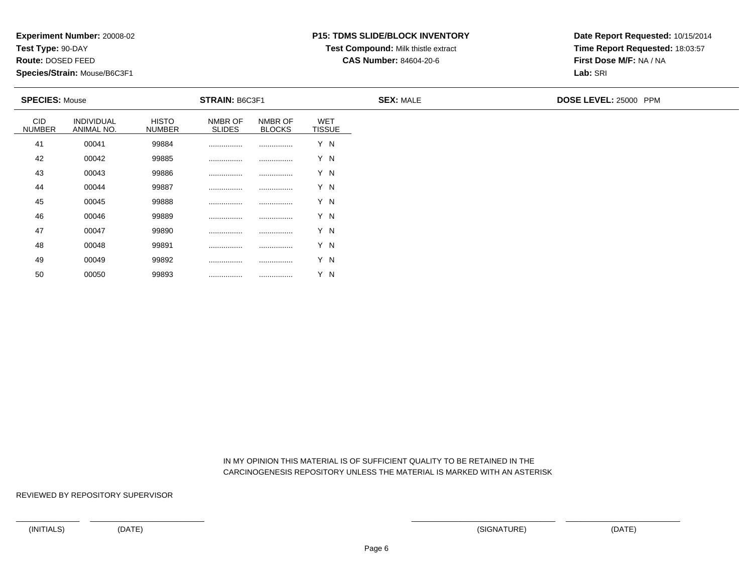**Test Type:** 90-DAY

**Route:** DOSED FEED

50

**Species/Strain:** Mouse/B6C3F1

# **P15: TDMS SLIDE/BLOCK INVENTORY**

**Test Compound:** Milk thistle extract

**CAS Number:** 84604-20-6

**Date Report Requested:** 10/15/2014**Time Report Requested:** 18:03:57**First Dose M/F:** NA / NA**Lab:** SRI

| <b>SPECIES: Mouse</b>       |                          |                               | <b>STRAIN: B6C3F1</b>    |                          |                             | <b>SEX: MALE</b> | DOSE LEVEL: 25000 PPM |  |
|-----------------------------|--------------------------|-------------------------------|--------------------------|--------------------------|-----------------------------|------------------|-----------------------|--|
| <b>CID</b><br><b>NUMBER</b> | INDIVIDUAL<br>ANIMAL NO. | <b>HISTO</b><br><b>NUMBER</b> | NMBR OF<br><b>SLIDES</b> | NMBR OF<br><b>BLOCKS</b> | <b>WET</b><br><b>TISSUE</b> |                  |                       |  |
| 41                          | 00041                    | 99884                         |                          |                          | Y N                         |                  |                       |  |
| 42                          | 00042                    | 99885                         |                          |                          | Y N                         |                  |                       |  |
| 43                          | 00043                    | 99886                         |                          |                          | Y N                         |                  |                       |  |
| 44                          | 00044                    | 99887                         |                          |                          | Y N                         |                  |                       |  |
| 45                          | 00045                    | 99888                         |                          |                          | Y N                         |                  |                       |  |
| 46                          | 00046                    | 99889                         |                          |                          | Y N                         |                  |                       |  |
| 47                          | 00047                    | 99890                         |                          |                          | Y N                         |                  |                       |  |
| 48                          | 00048                    | 99891                         |                          |                          | Y N                         |                  |                       |  |
| 49                          | 00049                    | 99892                         |                          |                          | Y N                         |                  |                       |  |

 IN MY OPINION THIS MATERIAL IS OF SUFFICIENT QUALITY TO BE RETAINED IN THECARCINOGENESIS REPOSITORY UNLESS THE MATERIAL IS MARKED WITH AN ASTERISK

REVIEWED BY REPOSITORY SUPERVISOR

<sup>00050</sup> <sup>99893</sup> ................ ................ Y N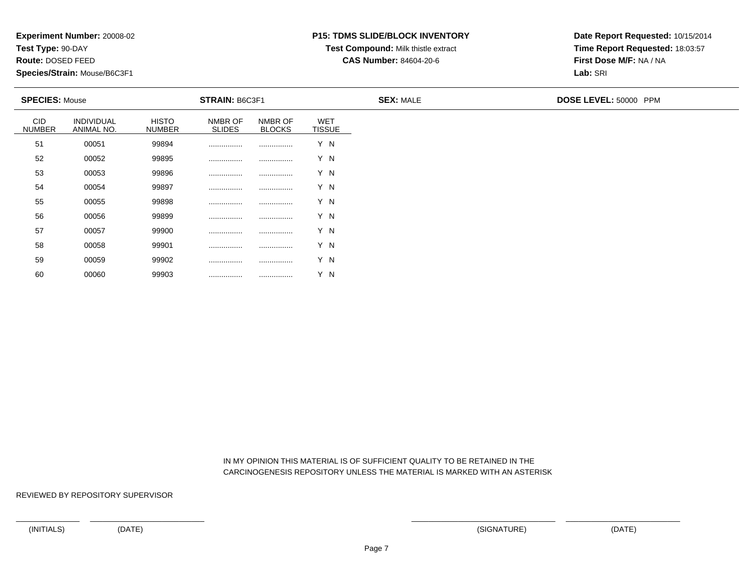**Test Type:** 90-DAY

**Route:** DOSED FEED

60

**Species/Strain:** Mouse/B6C3F1

## **P15: TDMS SLIDE/BLOCK INVENTORY**

**Test Compound:** Milk thistle extract

**CAS Number:** 84604-20-6

**Date Report Requested:** 10/15/2014**Time Report Requested:** 18:03:57**First Dose M/F:** NA / NA**Lab:** SRI

| <b>SPECIES: Mouse</b>       |                          |                               | <b>STRAIN: B6C3F1</b>    |                          |                             | <b>SEX: MALE</b> | DOSE LEVEL: 50000 PPM |
|-----------------------------|--------------------------|-------------------------------|--------------------------|--------------------------|-----------------------------|------------------|-----------------------|
| <b>CID</b><br><b>NUMBER</b> | INDIVIDUAL<br>ANIMAL NO. | <b>HISTO</b><br><b>NUMBER</b> | NMBR OF<br><b>SLIDES</b> | NMBR OF<br><b>BLOCKS</b> | <b>WET</b><br><b>TISSUE</b> |                  |                       |
| 51                          | 00051                    | 99894                         |                          |                          | Y N                         |                  |                       |
| 52                          | 00052                    | 99895                         |                          |                          | Y N                         |                  |                       |
| 53                          | 00053                    | 99896                         |                          |                          | Y N                         |                  |                       |
| 54                          | 00054                    | 99897                         |                          |                          | Y N                         |                  |                       |
| 55                          | 00055                    | 99898                         |                          |                          | Y N                         |                  |                       |
| 56                          | 00056                    | 99899                         |                          |                          | Y N                         |                  |                       |
| 57                          | 00057                    | 99900                         |                          |                          | Y N                         |                  |                       |
| 58                          | 00058                    | 99901                         | .                        |                          | Y N                         |                  |                       |
| 59                          | 00059                    | 99902                         |                          |                          | Y N                         |                  |                       |

 IN MY OPINION THIS MATERIAL IS OF SUFFICIENT QUALITY TO BE RETAINED IN THECARCINOGENESIS REPOSITORY UNLESS THE MATERIAL IS MARKED WITH AN ASTERISK

REVIEWED BY REPOSITORY SUPERVISOR

<sup>00060</sup> <sup>99903</sup> ................ ................ Y N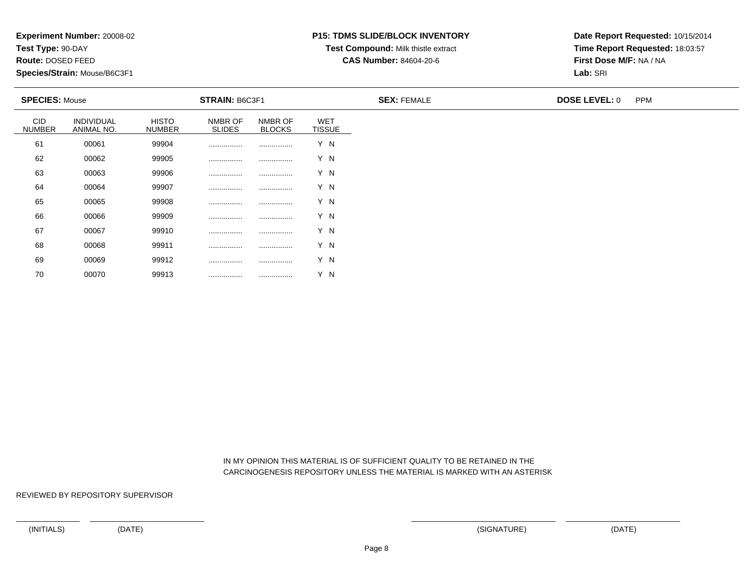**Test Type:** 90-DAY

**Route:** DOSED FEED

70

**Species/Strain:** Mouse/B6C3F1

#### **P15: TDMS SLIDE/BLOCK INVENTORY**

**Test Compound:** Milk thistle extract

**CAS Number:** 84604-20-6

**Date Report Requested:** 10/15/2014**Time Report Requested:** 18:03:57**First Dose M/F:** NA / NA**Lab:** SRI

| <b>SPECIES: Mouse</b>       |                          |                               | <b>STRAIN: B6C3F1</b>    |                          |                             | <b>SEX: FEMALE</b> | <b>DOSE LEVEL: 0</b> | <b>PPM</b> |
|-----------------------------|--------------------------|-------------------------------|--------------------------|--------------------------|-----------------------------|--------------------|----------------------|------------|
| <b>CID</b><br><b>NUMBER</b> | INDIVIDUAL<br>ANIMAL NO. | <b>HISTO</b><br><b>NUMBER</b> | NMBR OF<br><b>SLIDES</b> | NMBR OF<br><b>BLOCKS</b> | <b>WET</b><br><b>TISSUE</b> |                    |                      |            |
| 61                          | 00061                    | 99904                         |                          |                          | Y N                         |                    |                      |            |
| 62                          | 00062                    | 99905                         |                          |                          | Y N                         |                    |                      |            |
| 63                          | 00063                    | 99906                         |                          |                          | Y N                         |                    |                      |            |
| 64                          | 00064                    | 99907                         |                          |                          | Y N                         |                    |                      |            |
| 65                          | 00065                    | 99908                         |                          |                          | Y N                         |                    |                      |            |
| 66                          | 00066                    | 99909                         |                          |                          | Y N                         |                    |                      |            |
| 67                          | 00067                    | 99910                         |                          |                          | Y N                         |                    |                      |            |
| 68                          | 00068                    | 99911                         |                          |                          | Y N                         |                    |                      |            |
| 69                          | 00069                    | 99912                         |                          |                          | Y N                         |                    |                      |            |

 IN MY OPINION THIS MATERIAL IS OF SUFFICIENT QUALITY TO BE RETAINED IN THECARCINOGENESIS REPOSITORY UNLESS THE MATERIAL IS MARKED WITH AN ASTERISK

REVIEWED BY REPOSITORY SUPERVISOR

<sup>00070</sup> <sup>99913</sup> ................ ................ Y N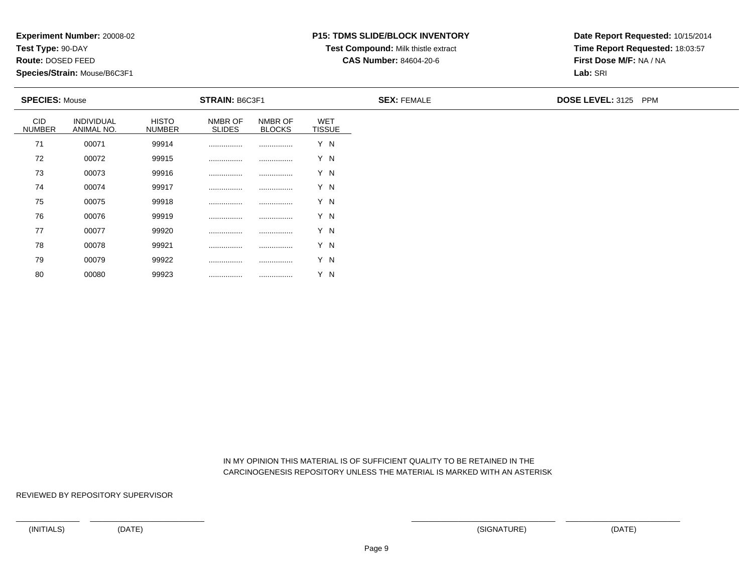**Test Type:** 90-DAY

**Route:** DOSED FEED

80

**Species/Strain:** Mouse/B6C3F1

## **P15: TDMS SLIDE/BLOCK INVENTORY**

**Test Compound:** Milk thistle extract

**CAS Number:** 84604-20-6

**Date Report Requested:** 10/15/2014**Time Report Requested:** 18:03:57**First Dose M/F:** NA / NA**Lab:** SRI

| <b>SPECIES: Mouse</b>       |                          |                               | <b>STRAIN: B6C3F1</b>    |                          |                      | <b>SEX: FEMALE</b> | <b>DOSE LEVEL: 3125 PPM</b> |
|-----------------------------|--------------------------|-------------------------------|--------------------------|--------------------------|----------------------|--------------------|-----------------------------|
| <b>CID</b><br><b>NUMBER</b> | INDIVIDUAL<br>ANIMAL NO. | <b>HISTO</b><br><b>NUMBER</b> | NMBR OF<br><b>SLIDES</b> | NMBR OF<br><b>BLOCKS</b> | WET<br><b>TISSUE</b> |                    |                             |
| 71                          | 00071                    | 99914                         |                          |                          | Y N                  |                    |                             |
| 72                          | 00072                    | 99915                         |                          |                          | Y N                  |                    |                             |
| 73                          | 00073                    | 99916                         |                          |                          | Y N                  |                    |                             |
| 74                          | 00074                    | 99917                         |                          |                          | Y N                  |                    |                             |
| 75                          | 00075                    | 99918                         |                          |                          | Y N                  |                    |                             |
| 76                          | 00076                    | 99919                         |                          |                          | Y N                  |                    |                             |
| 77                          | 00077                    | 99920                         |                          |                          | Y N                  |                    |                             |
| 78                          | 00078                    | 99921                         |                          |                          | Y N                  |                    |                             |
| 79                          | 00079                    | 99922                         |                          |                          | Y N                  |                    |                             |

 IN MY OPINION THIS MATERIAL IS OF SUFFICIENT QUALITY TO BE RETAINED IN THECARCINOGENESIS REPOSITORY UNLESS THE MATERIAL IS MARKED WITH AN ASTERISK

REVIEWED BY REPOSITORY SUPERVISOR

<sup>00080</sup> <sup>99923</sup> ................ ................ Y N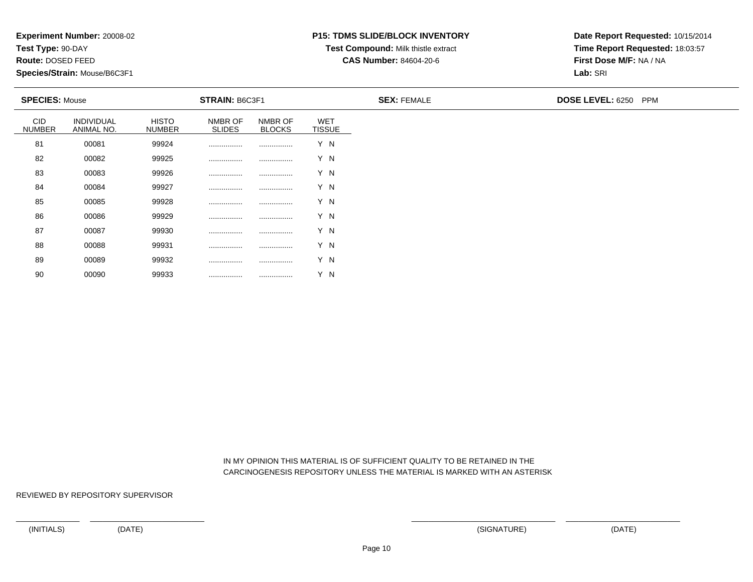**Test Type:** 90-DAY

**Route:** DOSED FEED

90

**Species/Strain:** Mouse/B6C3F1

### **P15: TDMS SLIDE/BLOCK INVENTORY**

**Test Compound:** Milk thistle extract

**CAS Number:** 84604-20-6

**Date Report Requested:** 10/15/2014**Time Report Requested:** 18:03:57**First Dose M/F:** NA / NA**Lab:** SRI

| <b>SPECIES: Mouse</b>       |                          |                               | <b>STRAIN: B6C3F1</b>    |                          |                             | <b>SEX: FEMALE</b> | DOSE LEVEL: 6250 PPM |
|-----------------------------|--------------------------|-------------------------------|--------------------------|--------------------------|-----------------------------|--------------------|----------------------|
| <b>CID</b><br><b>NUMBER</b> | INDIVIDUAL<br>ANIMAL NO. | <b>HISTO</b><br><b>NUMBER</b> | NMBR OF<br><b>SLIDES</b> | NMBR OF<br><b>BLOCKS</b> | <b>WET</b><br><b>TISSUE</b> |                    |                      |
| 81                          | 00081                    | 99924                         |                          |                          | Y N                         |                    |                      |
| 82                          | 00082                    | 99925                         |                          |                          | Y N                         |                    |                      |
| 83                          | 00083                    | 99926                         |                          |                          | Y N                         |                    |                      |
| 84                          | 00084                    | 99927                         |                          |                          | Y N                         |                    |                      |
| 85                          | 00085                    | 99928                         |                          |                          | Y N                         |                    |                      |
| 86                          | 00086                    | 99929                         | .                        |                          | Y N                         |                    |                      |
| 87                          | 00087                    | 99930                         | .                        |                          | Y N                         |                    |                      |
| 88                          | 00088                    | 99931                         |                          |                          | Y N                         |                    |                      |
| 89                          | 00089                    | 99932                         |                          |                          | Y N                         |                    |                      |

 IN MY OPINION THIS MATERIAL IS OF SUFFICIENT QUALITY TO BE RETAINED IN THECARCINOGENESIS REPOSITORY UNLESS THE MATERIAL IS MARKED WITH AN ASTERISK

REVIEWED BY REPOSITORY SUPERVISOR

<sup>00090</sup> <sup>99933</sup> ................ ................ Y N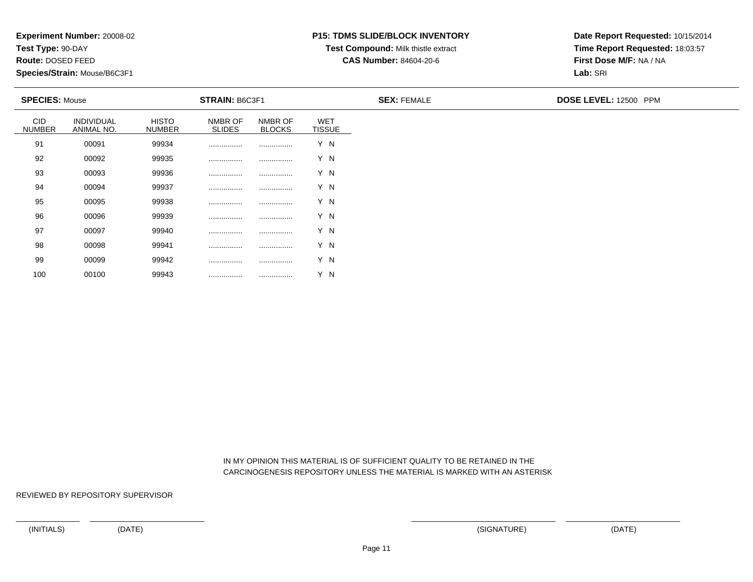**Test Type:** 90-DAY

**Route:** DOSED FEED

100

**Species/Strain:** Mouse/B6C3F1

# **P15: TDMS SLIDE/BLOCK INVENTORY**

**Test Compound:** Milk thistle extract

**CAS Number:** 84604-20-6

**Date Report Requested:** 10/15/2014**Time Report Requested:** 18:03:57**First Dose M/F:** NA / NA**Lab:** SRI

| <b>SPECIES: Mouse</b>       |                          |                               | <b>STRAIN: B6C3F1</b>    |                          |                             | <b>SEX: FEMALE</b> | DOSE LEVEL: 12500 PPM |
|-----------------------------|--------------------------|-------------------------------|--------------------------|--------------------------|-----------------------------|--------------------|-----------------------|
| <b>CID</b><br><b>NUMBER</b> | INDIVIDUAL<br>ANIMAL NO. | <b>HISTO</b><br><b>NUMBER</b> | NMBR OF<br><b>SLIDES</b> | NMBR OF<br><b>BLOCKS</b> | <b>WET</b><br><b>TISSUE</b> |                    |                       |
| 91                          | 00091                    | 99934                         |                          |                          | Y N                         |                    |                       |
| 92                          | 00092                    | 99935                         |                          |                          | Y N                         |                    |                       |
| 93                          | 00093                    | 99936                         |                          |                          | Y N                         |                    |                       |
| 94                          | 00094                    | 99937                         |                          |                          | Y N                         |                    |                       |
| 95                          | 00095                    | 99938                         |                          |                          | Y N                         |                    |                       |
| 96                          | 00096                    | 99939                         |                          |                          | Y N                         |                    |                       |
| 97                          | 00097                    | 99940                         |                          |                          | Y N                         |                    |                       |
| 98                          | 00098                    | 99941                         |                          | .                        | Y N                         |                    |                       |
| 99                          | 00099                    | 99942                         |                          |                          | Y N                         |                    |                       |

 IN MY OPINION THIS MATERIAL IS OF SUFFICIENT QUALITY TO BE RETAINED IN THECARCINOGENESIS REPOSITORY UNLESS THE MATERIAL IS MARKED WITH AN ASTERISK

REVIEWED BY REPOSITORY SUPERVISOR

<sup>00100</sup> <sup>99943</sup> ................ ................ Y N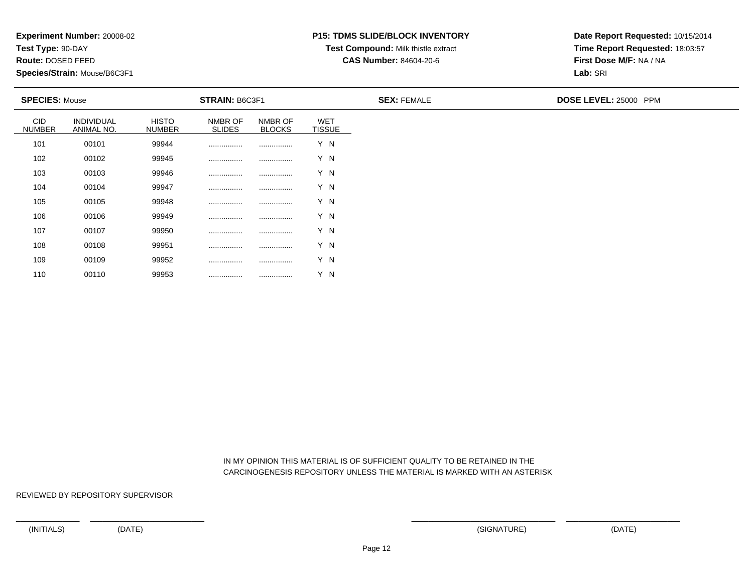**Test Type:** 90-DAY

**Route:** DOSED FEED

110

**Species/Strain:** Mouse/B6C3F1

### **P15: TDMS SLIDE/BLOCK INVENTORY**

**Test Compound:** Milk thistle extract

**CAS Number:** 84604-20-6

**Date Report Requested:** 10/15/2014**Time Report Requested:** 18:03:57**First Dose M/F:** NA / NA**Lab:** SRI

| <b>SPECIES: Mouse</b>       |                                 |                               | STRAIN: B6C3F1           |                          |                             | <b>SEX: FEMALE</b> | DOSE LEVEL: 25000 PPM |
|-----------------------------|---------------------------------|-------------------------------|--------------------------|--------------------------|-----------------------------|--------------------|-----------------------|
| <b>CID</b><br><b>NUMBER</b> | <b>INDIVIDUAL</b><br>ANIMAL NO. | <b>HISTO</b><br><b>NUMBER</b> | NMBR OF<br><b>SLIDES</b> | NMBR OF<br><b>BLOCKS</b> | <b>WET</b><br><b>TISSUE</b> |                    |                       |
| 101                         | 00101                           | 99944                         |                          |                          | Y N                         |                    |                       |
| 102                         | 00102                           | 99945                         |                          |                          | Y N                         |                    |                       |
| 103                         | 00103                           | 99946                         |                          |                          | Y N                         |                    |                       |
| 104                         | 00104                           | 99947                         |                          |                          | Y N                         |                    |                       |
| 105                         | 00105                           | 99948                         |                          |                          | Y N                         |                    |                       |
| 106                         | 00106                           | 99949                         |                          |                          | Y N                         |                    |                       |
| 107                         | 00107                           | 99950                         |                          |                          | Y N                         |                    |                       |
| 108                         | 00108                           | 99951                         | .                        |                          | Y N                         |                    |                       |
| 109                         | 00109                           | 99952                         |                          |                          | Y N                         |                    |                       |

 IN MY OPINION THIS MATERIAL IS OF SUFFICIENT QUALITY TO BE RETAINED IN THECARCINOGENESIS REPOSITORY UNLESS THE MATERIAL IS MARKED WITH AN ASTERISK

REVIEWED BY REPOSITORY SUPERVISOR

<sup>00110</sup> <sup>99953</sup> ................ ................ Y N